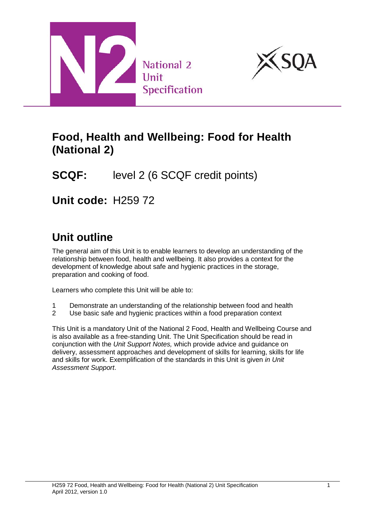



## **Food, Health and Wellbeing: Food for Health (National 2)**

# **SCQF:** level 2 (6 SCQF credit points)

**Unit code:** H259 72

# **Unit outline**

The general aim of this Unit is to enable learners to develop an understanding of the relationship between food, health and wellbeing. It also provides a context for the development of knowledge about safe and hygienic practices in the storage, preparation and cooking of food.

Learners who complete this Unit will be able to:

- 1 Demonstrate an understanding of the relationship between food and health<br>2 Use basic safe and hygienic practices within a food preparation context
- Use basic safe and hygienic practices within a food preparation context

This Unit is a mandatory Unit of the National 2 Food, Health and Wellbeing Course and is also available as a free-standing Unit. The Unit Specification should be read in conjunction with the *Unit Support Notes,* which provide advice and guidance on delivery, assessment approaches and development of skills for learning, skills for life and skills for work. Exemplification of the standards in this Unit is given *in Unit Assessment Support*.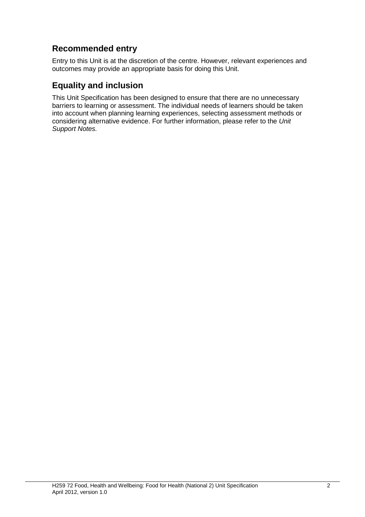### **Recommended entry**

Entry to this Unit is at the discretion of the centre. However, relevant experiences and outcomes may provide an appropriate basis for doing this Unit.

#### **Equality and inclusion**

This Unit Specification has been designed to ensure that there are no unnecessary barriers to learning or assessment. The individual needs of learners should be taken into account when planning learning experiences, selecting assessment methods or considering alternative evidence. For further information, please refer to the *Unit Support Notes.*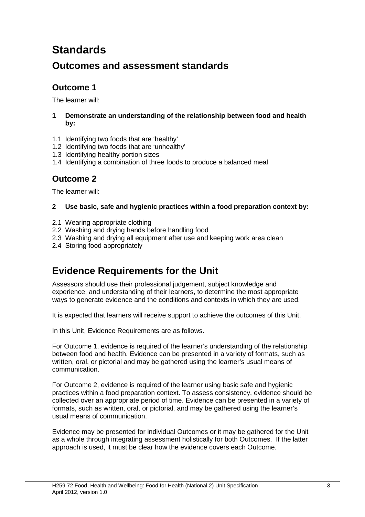# **Standards**

### **Outcomes and assessment standards**

#### **Outcome 1**

The learner will:

#### **1 Demonstrate an understanding of the relationship between food and health by:**

- 1.1 Identifying two foods that are 'healthy'
- 1.2 Identifying two foods that are 'unhealthy'
- 1.3 Identifying healthy portion sizes
- 1.4 Identifying a combination of three foods to produce a balanced meal

#### **Outcome 2**

The learner will:

#### **2 Use basic, safe and hygienic practices within a food preparation context by:**

- 2.1 Wearing appropriate clothing
- 2.2 Washing and drying hands before handling food
- 2.3 Washing and drying all equipment after use and keeping work area clean
- 2.4 Storing food appropriately

## **Evidence Requirements for the Unit**

Assessors should use their professional judgement, subject knowledge and experience, and understanding of their learners, to determine the most appropriate ways to generate evidence and the conditions and contexts in which they are used.

It is expected that learners will receive support to achieve the outcomes of this Unit.

In this Unit, Evidence Requirements are as follows.

For Outcome 1, evidence is required of the learner's understanding of the relationship between food and health. Evidence can be presented in a variety of formats, such as written, oral, or pictorial and may be gathered using the learner's usual means of communication.

For Outcome 2, evidence is required of the learner using basic safe and hygienic practices within a food preparation context. To assess consistency, evidence should be collected over an appropriate period of time. Evidence can be presented in a variety of formats, such as written, oral, or pictorial, and may be gathered using the learner's usual means of communication.

Evidence may be presented for individual Outcomes or it may be gathered for the Unit as a whole through integrating assessment holistically for both Outcomes. If the latter approach is used, it must be clear how the evidence covers each Outcome.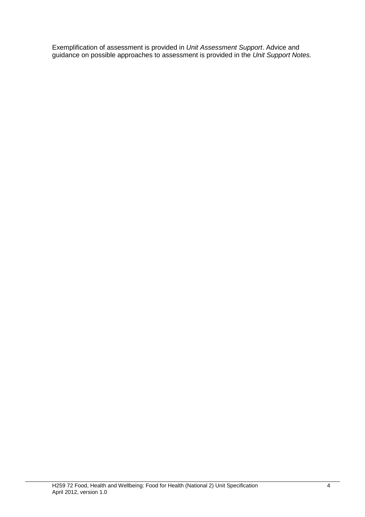Exemplification of assessment is provided in *Unit Assessment Support*. Advice and guidance on possible approaches to assessment is provided in the *Unit Support Notes.*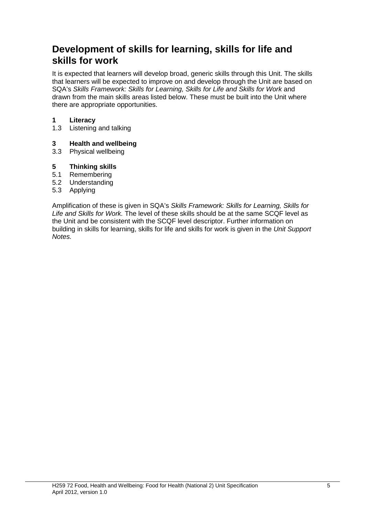### **Development of skills for learning, skills for life and skills for work**

It is expected that learners will develop broad, generic skills through this Unit. The skills that learners will be expected to improve on and develop through the Unit are based on SQA's *Skills Framework: Skills for Learning, Skills for Life and Skills for Work* and drawn from the main skills areas listed below. These must be built into the Unit where there are appropriate opportunities.

# **1 Literacy**

Listening and talking

# **3 Health and wellbeing**

Physical wellbeing

#### **5 Thinking skills**

- 5.1 Remembering
- 5.2 Understanding
- 5.3 Applying

Amplification of these is given in SQA's *Skills Framework: Skills for Learning, Skills for Life and Skills for Work.* The level of these skills should be at the same SCQF level as the Unit and be consistent with the SCQF level descriptor. Further information on building in skills for learning, skills for life and skills for work is given in the *Unit Support Notes.*